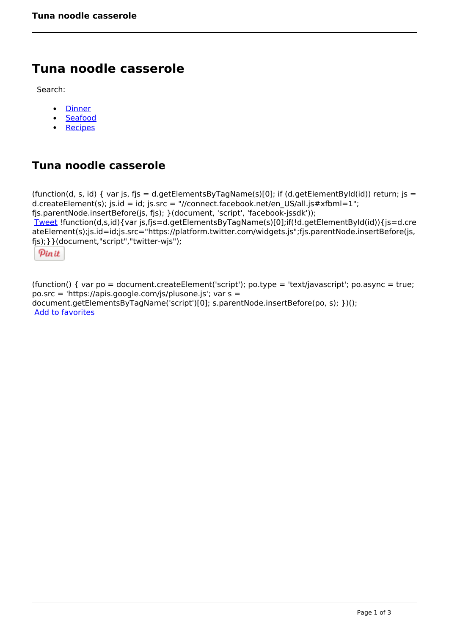# **Tuna noodle casserole**

Search:

- **[Dinner](https://www.naturalhealthmag.com.au/nourish/dinner-ideas)**  $\bullet$
- [Seafood](https://www.naturalhealthmag.com.au/nourish/seafood)  $\bullet$
- **[Recipes](https://www.naturalhealthmag.com.au/nourish/recipes)**  $\bullet$

# **Tuna noodle casserole**

```
(function(d, s, id) { var js, fjs = d.getElementsByTagName(s)[0]; if (d.getElementById(id)) return; js =
d.createElement(s); js.id = id; js.src = "//connect.facebook.net/en_US/all.js#xfbml=1";
fjs.parentNode.insertBefore(js, fjs); }(document, 'script', 'facebook-jssdk')); 
Tweet !function(d,s,id){var js,fjs=d.getElementsByTagName(s)[0];if(!d.getElementById(id)){js=d.cre
ateElement(s);js.id=id;js.src="https://platform.twitter.com/widgets.js";fjs.parentNode.insertBefore(js,
fjs);}}(document,"script","twitter-wjs"); 
 Pin it
```
(function() { var po = document.createElement('script'); po.type = 'text/javascript'; po.async = true; po.src = 'https://apis.google.com/js/plusone.js'; var s = document.getElementsByTagName('script')[0]; s.parentNode.insertBefore(po, s); })(); Add to favorites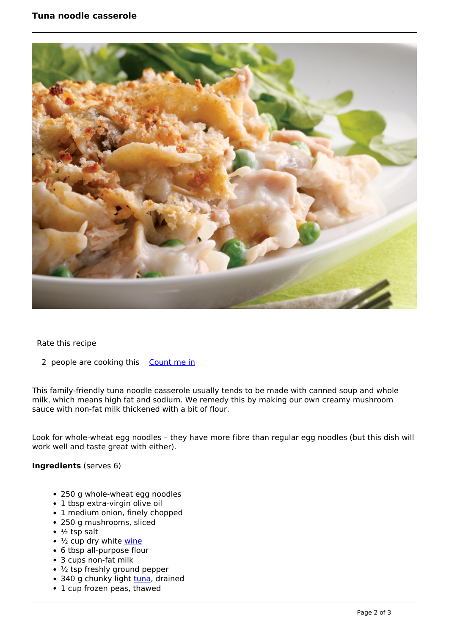## **Tuna noodle casserole**



Rate this recipe

2 people are cooking this [Count me in](https://www.naturalhealthmag.com.au/flag/flag/favorites/795?destination=printpdf%2F795&token=4099ce8fe797ec6a9cb03e7847e994fe)

This family-friendly tuna noodle casserole usually tends to be made with canned soup and whole milk, which means high fat and sodium. We remedy this by making our own creamy mushroom sauce with non-fat milk thickened with a bit of flour.

Look for whole-wheat egg noodles – they have more fibre than regular egg noodles (but this dish will work well and taste great with either).

### **Ingredients** (serves 6)

- 250 g whole-wheat egg noodles
- 1 tbsp extra-virgin olive oil
- 1 medium onion, finely chopped
- 250 g mushrooms, sliced
- $\cdot$  ½ tsp salt
- $\cdot$   $\frac{1}{2}$  cup dry white [wine](http://www.naturalhealthmag.com.au/nourish/wickhams-road-2012-yarra-valley-chardonnay)
- 6 tbsp all-purpose flour
- 3 cups non-fat milk
- ½ tsp freshly ground pepper
- 340 g chunky light [tuna,](http://www.naturalhealthmag.com.au/nourish/tuna-steak-mango-salsa) drained
- 1 cup frozen peas, thawed